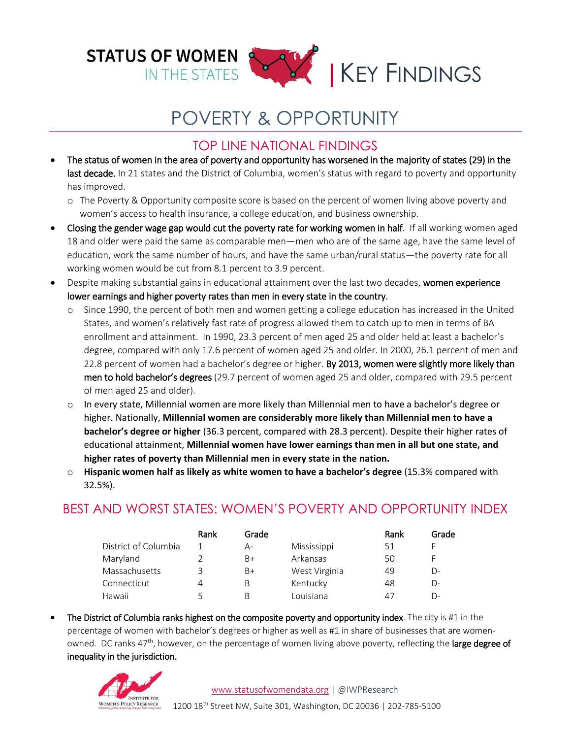

# POVERTY & OPPORTUNITY

### TOP LINE NATIONAL FINDINGS

- The status of women in the area of poverty and opportunity has worsened in the majority of states (29) in the last decade. In 21 states and the District of Columbia, women's status with regard to poverty and opportunity has improved.
	- o The Poverty & Opportunity composite score is based on the percent of women living above poverty and women's access to health insurance, a college education, and business ownership.
- Closing the gender wage gap would cut the poverty rate for working women in half. If all working women aged 18 and older were paid the same as comparable men—men who are of the same age, have the same level of education, work the same number of hours, and have the same urban/rural status—the poverty rate for all working women would be cut from 8.1 percent to 3.9 percent.
- Despite making substantial gains in educational attainment over the last two decades, women experience lower earnings and higher poverty rates than men in every state in the country.
	- o Since 1990, the percent of both men and women getting a college education has increased in the United States, and women's relatively fast rate of progress allowed them to catch up to men in terms of BA enrollment and attainment. In 1990, 23.3 percent of men aged 25 and older held at least a bachelor's degree, compared with only 17.6 percent of women aged 25 and older. In 2000, 26.1 percent of men and 22.8 percent of women had a bachelor's degree or higher. By 2013, women were slightly more likely than men to hold bachelor's degrees (29.7 percent of women aged 25 and older, compared with 29.5 percent of men aged 25 and older).
	- $\circ$  In every state, Millennial women are more likely than Millennial men to have a bachelor's degree or higher. Nationally, **Millennial women are considerably more likely than Millennial men to have a bachelor's degree or higher** (36.3 percent, compared with 28.3 percent). Despite their higher rates of educational attainment, **Millennial women have lower earnings than men in all but one state, and higher rates of poverty than Millennial men in every state in the nation.**
	- o **Hispanic women half as likely as white women to have a bachelor's degree** (15.3% compared with 32.5%).

## BEST AND WORST STATES: WOMEN'S POVERTY AND OPPORTUNITY INDEX

|                      | Rank | Grade |               | Rank | Grade |
|----------------------|------|-------|---------------|------|-------|
| District of Columbia |      | А-    | Mississippi   | 51   | F     |
| Maryland             |      | B+    | Arkansas      | 50   | F     |
| Massachusetts        | 3    | B+    | West Virginia | 49   | D-    |
| Connecticut          | 4    | В     | Kentucky      | 48   | $D-$  |
| Hawaii               |      | B     | Louisiana     | 47   | $D-$  |

 The District of Columbia ranks highest on the composite poverty and opportunity index. The city is #1 in the percentage of women with bachelor's degrees or higher as well as #1 in share of businesses that are womenowned. DC ranks 47<sup>th</sup>, however, on the percentage of women living above poverty, reflecting the large degree of inequality in the jurisdiction.

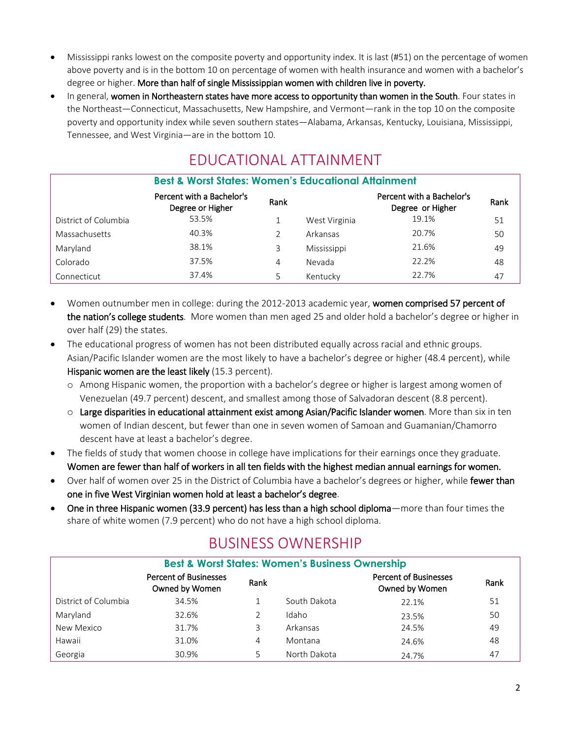- Mississippi ranks lowest on the composite poverty and opportunity index. It is last (#51) on the percentage of women above poverty and is in the bottom 10 on percentage of women with health insurance and women with a bachelor's degree or higher. More than half of single Mississippian women with children live in poverty.
- In general, women in Northeastern states have more access to opportunity than women in the South. Four states in the Northeast—Connecticut, Massachusetts, New Hampshire, and Vermont—rank in the top 10 on the composite poverty and opportunity index while seven southern states—Alabama, Arkansas, Kentucky, Louisiana, Mississippi, Tennessee, and West Virginia—are in the bottom 10.

# EDUCATIONAL ATTAINMENT

| <b>Best &amp; Worst States: Women's Educational Attainment</b> |                                               |      |               |                                               |      |
|----------------------------------------------------------------|-----------------------------------------------|------|---------------|-----------------------------------------------|------|
|                                                                | Percent with a Bachelor's<br>Degree or Higher | Rank |               | Percent with a Bachelor's<br>Degree or Higher | Rank |
| District of Columbia                                           | 53.5%                                         |      | West Virginia | 19.1%                                         | 51   |
| Massachusetts                                                  | 40.3%                                         | C    | Arkansas      | 20.7%                                         | 50   |
| Maryland                                                       | 38.1%                                         | 3    | Mississippi   | 21.6%                                         | 49   |
| Colorado                                                       | 37.5%                                         | 4    | Nevada        | 22.2%                                         | 48   |
| Connecticut                                                    | 37.4%                                         | 5    | Kentucky      | 22.7%                                         | 47   |

- Women outnumber men in college: during the 2012-2013 academic year, women comprised 57 percent of the nation's college students. More women than men aged 25 and older hold a bachelor's degree or higher in over half (29) the states.
- The educational progress of women has not been distributed equally across racial and ethnic groups. Asian/Pacific Islander women are the most likely to have a bachelor's degree or higher (48.4 percent), while Hispanic women are the least likely (15.3 percent).
	- o Among Hispanic women, the proportion with a bachelor's degree or higher is largest among women of Venezuelan (49.7 percent) descent, and smallest among those of Salvadoran descent (8.8 percent).
	- $\circ$  Large disparities in educational attainment exist among Asian/Pacific Islander women. More than six in ten women of Indian descent, but fewer than one in seven women of Samoan and Guamanian/Chamorro descent have at least a bachelor's degree.
- The fields of study that women choose in college have implications for their earnings once they graduate. Women are fewer than half of workers in all ten fields with the highest median annual earnings for women.
- Over half of women over 25 in the District of Columbia have a bachelor's degrees or higher, while fewer than one in five West Virginian women hold at least a bachelor's degree.
- One in three Hispanic women (33.9 percent) has less than a high school diploma—more than four times the share of white women (7.9 percent) who do not have a high school diploma.

# BUSINESS OWNERSHIP

| <b>Best &amp; Worst States: Women's Business Ownership</b> |                                                |      |              |                                                |      |  |
|------------------------------------------------------------|------------------------------------------------|------|--------------|------------------------------------------------|------|--|
|                                                            | <b>Percent of Businesses</b><br>Owned by Women | Rank |              | <b>Percent of Businesses</b><br>Owned by Women | Rank |  |
| District of Columbia                                       | 34.5%                                          |      | South Dakota | 22.1%                                          | 51   |  |
| Maryland                                                   | 32.6%                                          |      | Idaho        | 23.5%                                          | 50   |  |
| New Mexico                                                 | 31.7%                                          |      | Arkansas     | 24.5%                                          | 49   |  |
| Hawaii                                                     | 31.0%                                          | 4    | Montana      | 24.6%                                          | 48   |  |
| Georgia                                                    | 30.9%                                          |      | North Dakota | 24.7%                                          | 47   |  |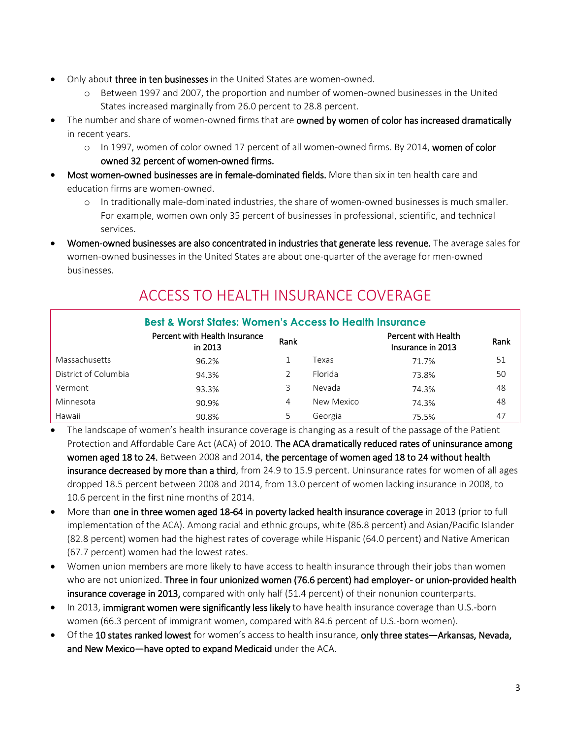- Only about three in ten businesses in the United States are women-owned.
	- o Between 1997 and 2007, the proportion and number of women-owned businesses in the United States increased marginally from 26.0 percent to 28.8 percent.
- The number and share of women-owned firms that are owned by women of color has increased dramatically in recent years.
	- o In 1997, women of color owned 17 percent of all women-owned firms. By 2014, women of color owned 32 percent of women-owned firms.
- Most women-owned businesses are in female-dominated fields. More than six in ten health care and education firms are women-owned.
	- o In traditionally male-dominated industries, the share of women-owned businesses is much smaller. For example, women own only 35 percent of businesses in professional, scientific, and technical services.
- Women-owned businesses are also concentrated in industries that generate less revenue. The average sales for women-owned businesses in the United States are about one-quarter of the average for men-owned businesses.

#### **Best & Worst States: Women's Access to Health Insurance** Percent with Health Insurance in 2013 Rank Percent with Health Insurance in 2013 Rank Massachusetts 96.2% 1 Texas 71.7% 51 District of Columbia  $94.3\%$  2 Florida 73.8% 50 Vermont 93.3% 3 Nevada 74.3% 48 Minnesota 90.9% 4 New Mexico 74.3% 48 Hawaii 90.8% 5 Georgia 75.5% 47

# ACCESS TO HEALTH INSURANCE COVERAGE

- The landscape of women's health insurance coverage is changing as a result of the passage of the Patient Protection and Affordable Care Act (ACA) of 2010. The ACA dramatically reduced rates of uninsurance among women aged 18 to 24. Between 2008 and 2014, the percentage of women aged 18 to 24 without health insurance decreased by more than a third, from 24.9 to 15.9 percent. Uninsurance rates for women of all ages dropped 18.5 percent between 2008 and 2014, from 13.0 percent of women lacking insurance in 2008, to 10.6 percent in the first nine months of 2014.
- More than one in three women aged 18-64 in poverty lacked health insurance coverage in 2013 (prior to full implementation of the ACA). Among racial and ethnic groups, white (86.8 percent) and Asian/Pacific Islander (82.8 percent) women had the highest rates of coverage while Hispanic (64.0 percent) and Native American (67.7 percent) women had the lowest rates.
- Women union members are more likely to have access to health insurance through their jobs than women who are not unionized. Three in four unionized women (76.6 percent) had employer- or union-provided health insurance coverage in 2013, compared with only half (51.4 percent) of their nonunion counterparts.
- In 2013, immigrant women were significantly less likely to have health insurance coverage than U.S.-born women (66.3 percent of immigrant women, compared with 84.6 percent of U.S.-born women).
- Of the 10 states ranked lowest for women's access to health insurance, only three states—Arkansas, Nevada, and New Mexico—have opted to expand Medicaid under the ACA.